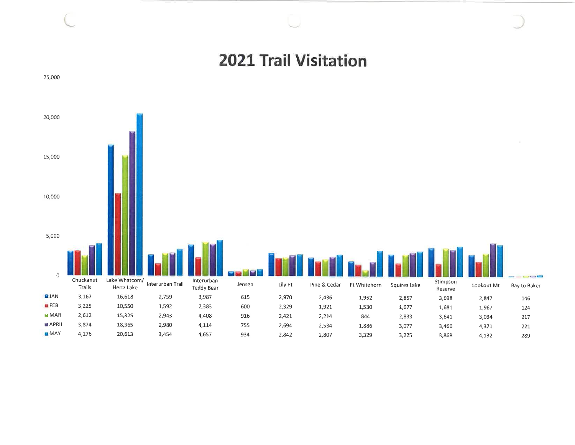## **2021 Trail Visitation**

25,000

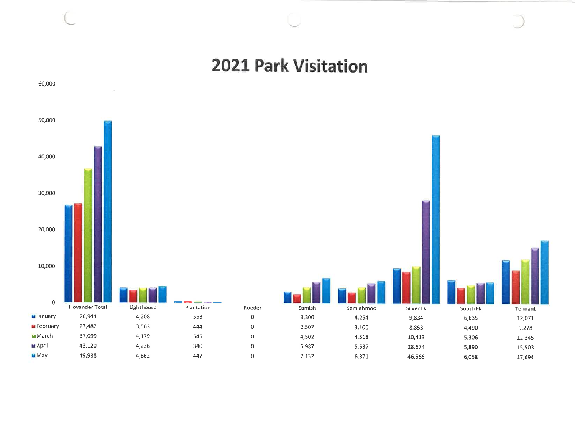## **2021 Park Visitation**



## 60,000